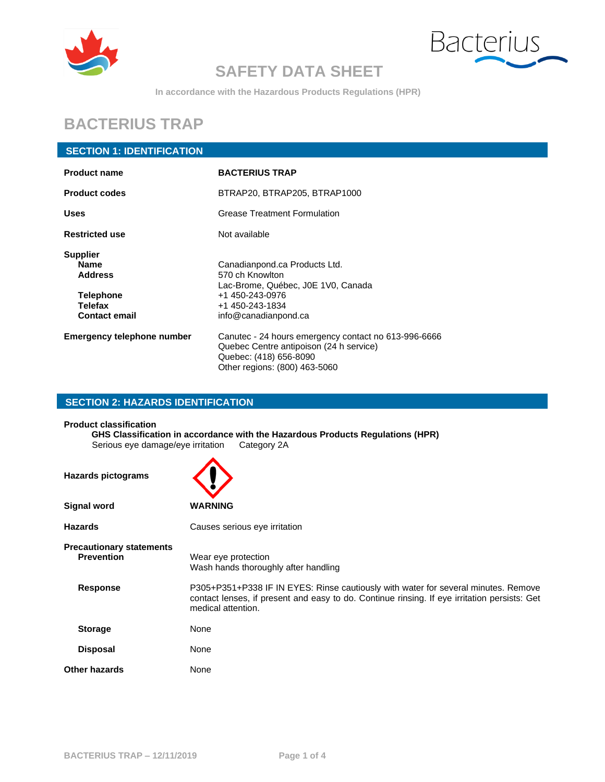



**In accordance with the Hazardous Products Regulations (HPR)**

## **BACTERIUS TRAP**

### **SECTION 1: IDENTIFICATION**

| <b>Product name</b>                                                                              | <b>BACTERIUS TRAP</b>                                                                                                                                      |  |
|--------------------------------------------------------------------------------------------------|------------------------------------------------------------------------------------------------------------------------------------------------------------|--|
| <b>Product codes</b>                                                                             | BTRAP20, BTRAP205, BTRAP1000                                                                                                                               |  |
| <b>Uses</b>                                                                                      | <b>Grease Treatment Formulation</b>                                                                                                                        |  |
| <b>Restricted use</b>                                                                            | Not available                                                                                                                                              |  |
| <b>Supplier</b><br>Name<br><b>Address</b><br><b>Telephone</b><br>Telefax<br><b>Contact email</b> | Canadianpond.ca Products Ltd.<br>570 ch Knowlton<br>Lac-Brome, Québec, J0E 1V0, Canada<br>+1 450-243-0976<br>+1 450-243-1834<br>info@canadianpond.ca       |  |
| <b>Emergency telephone number</b>                                                                | Canutec - 24 hours emergency contact no 613-996-6666<br>Quebec Centre antipoison (24 h service)<br>Quebec: (418) 656-8090<br>Other regions: (800) 463-5060 |  |

### **SECTION 2: HAZARDS IDENTIFICATION**

**Product classification**

**GHS Classification in accordance with the Hazardous Products Regulations (HPR)** Serious eye damage/eye irritation Category 2A

| <b>Hazards pictograms</b>                            |                                                                                                                                                                                                          |
|------------------------------------------------------|----------------------------------------------------------------------------------------------------------------------------------------------------------------------------------------------------------|
| <b>Signal word</b>                                   | <b>WARNING</b>                                                                                                                                                                                           |
| <b>Hazards</b>                                       | Causes serious eye irritation                                                                                                                                                                            |
| <b>Precautionary statements</b><br><b>Prevention</b> | Wear eye protection<br>Wash hands thoroughly after handling                                                                                                                                              |
| <b>Response</b>                                      | P305+P351+P338 IF IN EYES: Rinse cautiously with water for several minutes. Remove<br>contact lenses, if present and easy to do. Continue rinsing. If eye irritation persists: Get<br>medical attention. |
| <b>Storage</b>                                       | None                                                                                                                                                                                                     |
| <b>Disposal</b>                                      | None                                                                                                                                                                                                     |
| <b>Other hazards</b>                                 | None                                                                                                                                                                                                     |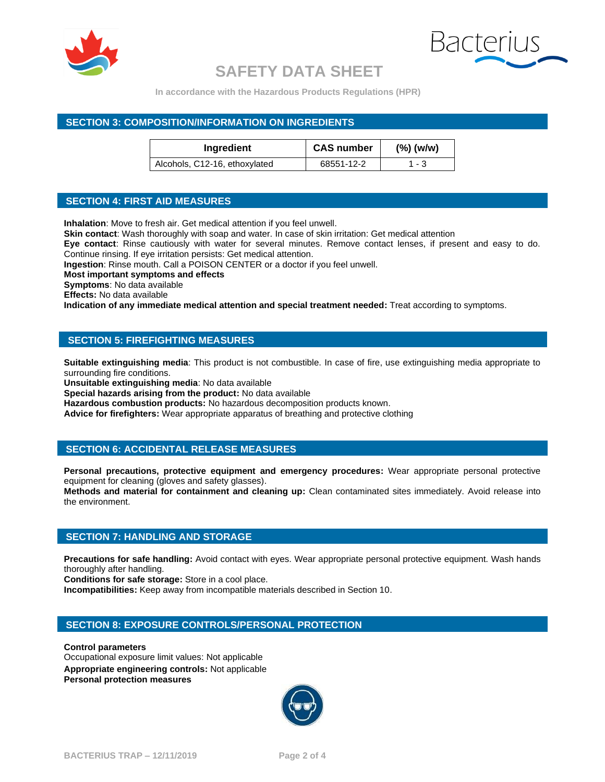



**In accordance with the Hazardous Products Regulations (HPR)**

### **SECTION 3: COMPOSITION/INFORMATION ON INGREDIENTS**

| Ingredient                    | <b>CAS number</b> | $(\%)$ (w/w) |
|-------------------------------|-------------------|--------------|
| Alcohols, C12-16, ethoxylated | 68551-12-2        | 1 - 3        |

### **SECTION 4: FIRST AID MEASURES**

**Inhalation**: Move to fresh air. Get medical attention if you feel unwell.

**Skin contact**: Wash thoroughly with soap and water. In case of skin irritation: Get medical attention

**Eye contact**: Rinse cautiously with water for several minutes. Remove contact lenses, if present and easy to do. Continue rinsing. If eye irritation persists: Get medical attention.

**Ingestion**: Rinse mouth. Call a POISON CENTER or a doctor if you feel unwell.

**Most important symptoms and effects**

**Symptoms**: No data available

**Effects:** No data available

**Indication of any immediate medical attention and special treatment needed:** Treat according to symptoms.

### **SECTION 5: FIREFIGHTING MEASURES**

**Suitable extinguishing media**: This product is not combustible. In case of fire, use extinguishing media appropriate to surrounding fire conditions.

**Unsuitable extinguishing media**: No data available

**Special hazards arising from the product:** No data available

**Hazardous combustion products:** No hazardous decomposition products known.

**Advice for firefighters:** Wear appropriate apparatus of breathing and protective clothing

#### **SECTION 6: ACCIDENTAL RELEASE MEASURES**

**Personal precautions, protective equipment and emergency procedures:** Wear appropriate personal protective equipment for cleaning (gloves and safety glasses).

**Methods and material for containment and cleaning up:** Clean contaminated sites immediately. Avoid release into the environment.

### **SECTION 7: HANDLING AND STORAGE**

**Precautions for safe handling:** Avoid contact with eyes. Wear appropriate personal protective equipment. Wash hands thoroughly after handling.

**Conditions for safe storage:** Store in a cool place.

**Incompatibilities:** Keep away from incompatible materials described in Section 10.

#### **SECTION 8: EXPOSURE CONTROLS/PERSONAL PROTECTION**

**Control parameters**

Occupational exposure limit values: Not applicable **Appropriate engineering controls:** Not applicable **Personal protection measures**

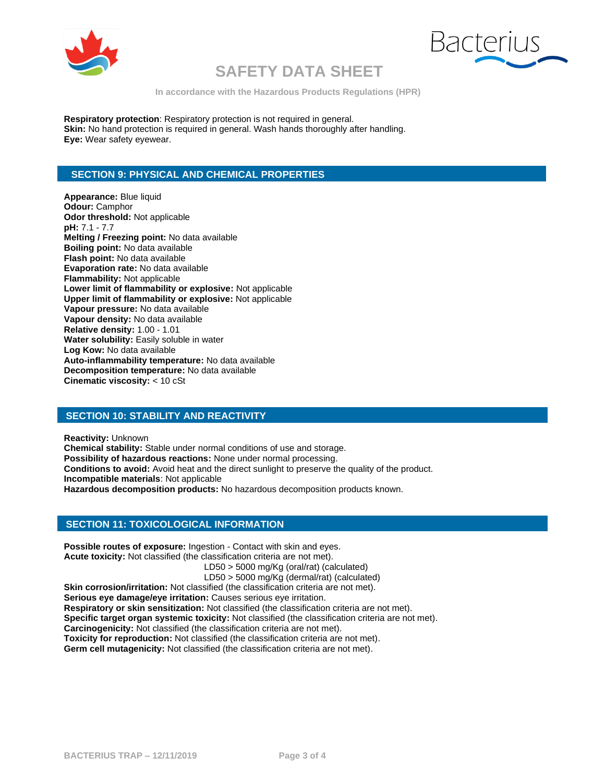



**In accordance with the Hazardous Products Regulations (HPR)**

**Respiratory protection**: Respiratory protection is not required in general. **Skin:** No hand protection is required in general. Wash hands thoroughly after handling. **Eye:** Wear safety eyewear.

### **SECTION 9: PHYSICAL AND CHEMICAL PROPERTIES**

**Appearance:** Blue liquid **Odour:** Camphor **Odor threshold:** Not applicable **pH:** 7.1 - 7.7 **Melting / Freezing point:** No data available **Boiling point:** No data available **Flash point:** No data available **Evaporation rate:** No data available **Flammability:** Not applicable **Lower limit of flammability or explosive:** Not applicable **Upper limit of flammability or explosive:** Not applicable **Vapour pressure:** No data available **Vapour density:** No data available **Relative density:** 1.00 - 1.01 **Water solubility:** Easily soluble in water **Log Kow:** No data available **Auto-inflammability temperature:** No data available **Decomposition temperature:** No data available **Cinematic viscosity:** < 10 cSt

### **SECTION 10: STABILITY AND REACTIVITY**

**Reactivity:** Unknown **Chemical stability:** Stable under normal conditions of use and storage. **Possibility of hazardous reactions:** None under normal processing. **Conditions to avoid:** Avoid heat and the direct sunlight to preserve the quality of the product. **Incompatible materials**: Not applicable **Hazardous decomposition products:** No hazardous decomposition products known.

### **SECTION 11: TOXICOLOGICAL INFORMATION**

**Possible routes of exposure:** Ingestion - Contact with skin and eyes. **Acute toxicity:** Not classified (the classification criteria are not met).

LD50 > 5000 mg/Kg (oral/rat) (calculated)

LD50 > 5000 mg/Kg (dermal/rat) (calculated)

Skin corrosion/irritation: Not classified (the classification criteria are not met). **Serious eye damage/eye irritation:** Causes serious eye irritation. **Respiratory or skin sensitization:** Not classified (the classification criteria are not met). **Specific target organ systemic toxicity:** Not classified (the classification criteria are not met). **Carcinogenicity:** Not classified (the classification criteria are not met). **Toxicity for reproduction:** Not classified (the classification criteria are not met).

**Germ cell mutagenicity:** Not classified (the classification criteria are not met).